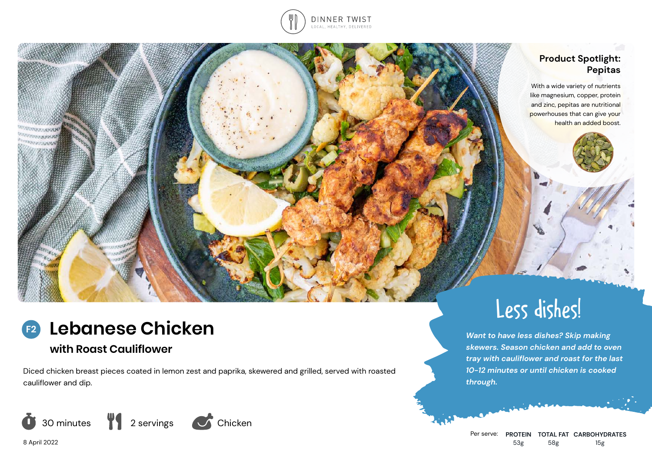

### **Product Spotlight: Pepitas**

With a wide variety of nutrients like magnesium, copper, protein and zinc, pepitas are nutritional powerhouses that can give your health an added boost.

#### **Lebanese Chicken F2**

# **with Roast Cauliflower**

Diced chicken breast pieces coated in lemon zest and paprika, skewered and grilled, served with roasted cauliflower and dip.





*Want to have less dishes? Skip making skewers. Season chicken and add to oven tray with cauliflower and roast for the last 10-12 minutes or until chicken is cooked through.*